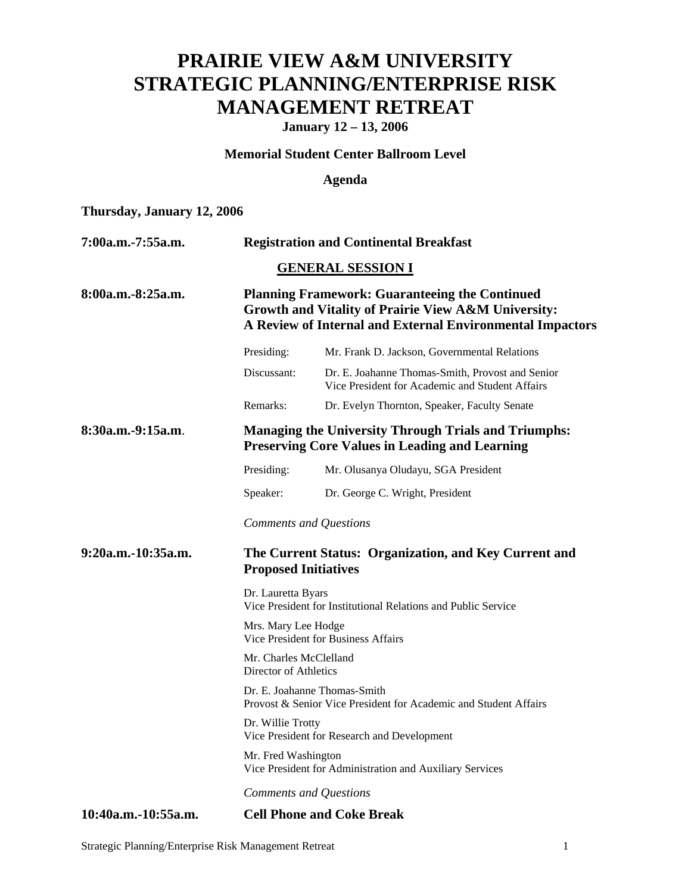## **PRAIRIE VIEW A&M UNIVERSITY STRATEGIC PLANNING/ENTERPRISE RISK MANAGEMENT RETREAT**

**January 12 – 13, 2006** 

#### **Memorial Student Center Ballroom Level**

## **Agenda**

## **Thursday, January 12, 2006**

| 7:00a.m.-7:55a.m.   | <b>Registration and Continental Breakfast</b>                                                                                                                             |                                                                                                     |  |
|---------------------|---------------------------------------------------------------------------------------------------------------------------------------------------------------------------|-----------------------------------------------------------------------------------------------------|--|
|                     |                                                                                                                                                                           | <b>GENERAL SESSION I</b>                                                                            |  |
| 8:00a.m.-8:25a.m.   | <b>Planning Framework: Guaranteeing the Continued</b><br>Growth and Vitality of Prairie View A&M University:<br>A Review of Internal and External Environmental Impactors |                                                                                                     |  |
|                     | Presiding:                                                                                                                                                                | Mr. Frank D. Jackson, Governmental Relations                                                        |  |
|                     | Discussant:                                                                                                                                                               | Dr. E. Joahanne Thomas-Smith, Provost and Senior<br>Vice President for Academic and Student Affairs |  |
|                     | Remarks:                                                                                                                                                                  | Dr. Evelyn Thornton, Speaker, Faculty Senate                                                        |  |
| 8:30a.m.-9:15a.m.   | <b>Managing the University Through Trials and Triumphs:</b><br><b>Preserving Core Values in Leading and Learning</b>                                                      |                                                                                                     |  |
|                     | Presiding:                                                                                                                                                                | Mr. Olusanya Oludayu, SGA President                                                                 |  |
|                     | Speaker:                                                                                                                                                                  | Dr. George C. Wright, President                                                                     |  |
|                     |                                                                                                                                                                           | <b>Comments and Questions</b>                                                                       |  |
| 9:20a.m.-10:35a.m.  | The Current Status: Organization, and Key Current and<br><b>Proposed Initiatives</b>                                                                                      |                                                                                                     |  |
|                     | Dr. Lauretta Byars<br>Vice President for Institutional Relations and Public Service                                                                                       |                                                                                                     |  |
|                     | Mrs. Mary Lee Hodge<br><b>Vice President for Business Affairs</b>                                                                                                         |                                                                                                     |  |
|                     | Mr. Charles McClelland<br>Director of Athletics                                                                                                                           |                                                                                                     |  |
|                     | Dr. E. Joahanne Thomas-Smith<br>Provost & Senior Vice President for Academic and Student Affairs                                                                          |                                                                                                     |  |
|                     | Dr. Willie Trotty<br>Vice President for Research and Development                                                                                                          |                                                                                                     |  |
|                     | Mr. Fred Washington                                                                                                                                                       | Vice President for Administration and Auxiliary Services                                            |  |
|                     |                                                                                                                                                                           | <b>Comments and Questions</b>                                                                       |  |
| 10:40a.m.-10:55a.m. | <b>Cell Phone and Coke Break</b>                                                                                                                                          |                                                                                                     |  |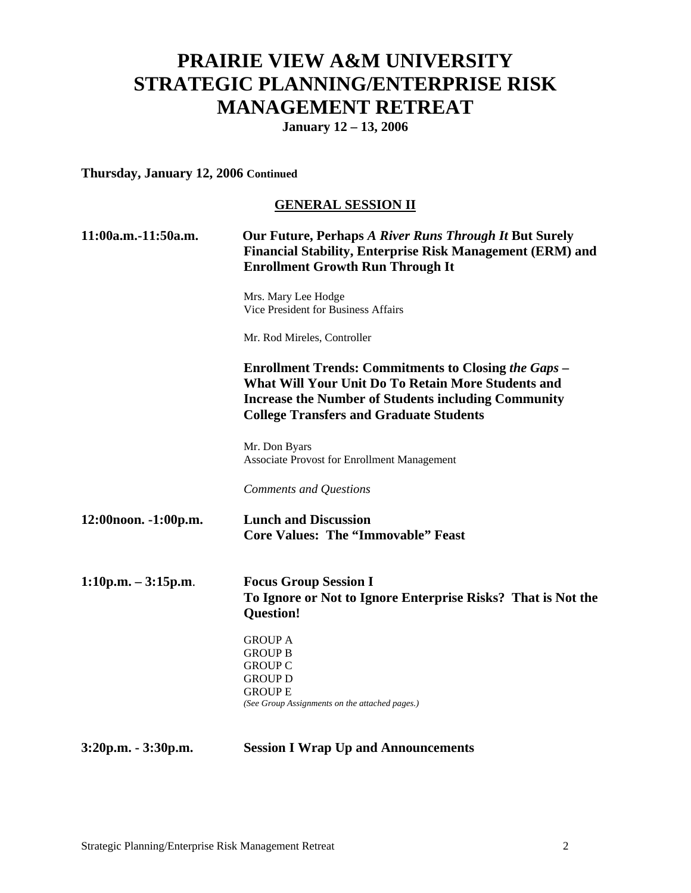## **PRAIRIE VIEW A&M UNIVERSITY STRATEGIC PLANNING/ENTERPRISE RISK MANAGEMENT RETREAT**

**January 12 – 13, 2006** 

## **Thursday, January 12, 2006 Continued**

### **GENERAL SESSION II**

| 11:00a.m.-11:50a.m.   | Our Future, Perhaps A River Runs Through It But Surely<br><b>Financial Stability, Enterprise Risk Management (ERM) and</b><br><b>Enrollment Growth Run Through It</b><br>Mrs. Mary Lee Hodge<br><b>Vice President for Business Affairs</b><br>Mr. Rod Mireles, Controller<br><b>Enrollment Trends: Commitments to Closing the Gaps –</b><br>What Will Your Unit Do To Retain More Students and<br><b>Increase the Number of Students including Community</b><br><b>College Transfers and Graduate Students</b> |                                                                                                                  |  |                                                              |
|-----------------------|----------------------------------------------------------------------------------------------------------------------------------------------------------------------------------------------------------------------------------------------------------------------------------------------------------------------------------------------------------------------------------------------------------------------------------------------------------------------------------------------------------------|------------------------------------------------------------------------------------------------------------------|--|--------------------------------------------------------------|
|                       |                                                                                                                                                                                                                                                                                                                                                                                                                                                                                                                |                                                                                                                  |  |                                                              |
|                       |                                                                                                                                                                                                                                                                                                                                                                                                                                                                                                                |                                                                                                                  |  | Mr. Don Byars<br>Associate Provost for Enrollment Management |
|                       |                                                                                                                                                                                                                                                                                                                                                                                                                                                                                                                |                                                                                                                  |  | Comments and Questions                                       |
|                       | 12:00noon. -1:00p.m.                                                                                                                                                                                                                                                                                                                                                                                                                                                                                           | <b>Lunch and Discussion</b><br><b>Core Values: The "Immovable" Feast</b>                                         |  |                                                              |
|                       | $1:10p.m. - 3:15p.m.$                                                                                                                                                                                                                                                                                                                                                                                                                                                                                          | <b>Focus Group Session I</b><br>To Ignore or Not to Ignore Enterprise Risks? That is Not the<br><b>Question!</b> |  |                                                              |
|                       | <b>GROUP A</b><br><b>GROUP B</b><br><b>GROUP C</b><br><b>GROUP D</b><br><b>GROUP E</b><br>(See Group Assignments on the attached pages.)                                                                                                                                                                                                                                                                                                                                                                       |                                                                                                                  |  |                                                              |
| $3:20p.m. - 3:30p.m.$ | <b>Session I Wrap Up and Announcements</b>                                                                                                                                                                                                                                                                                                                                                                                                                                                                     |                                                                                                                  |  |                                                              |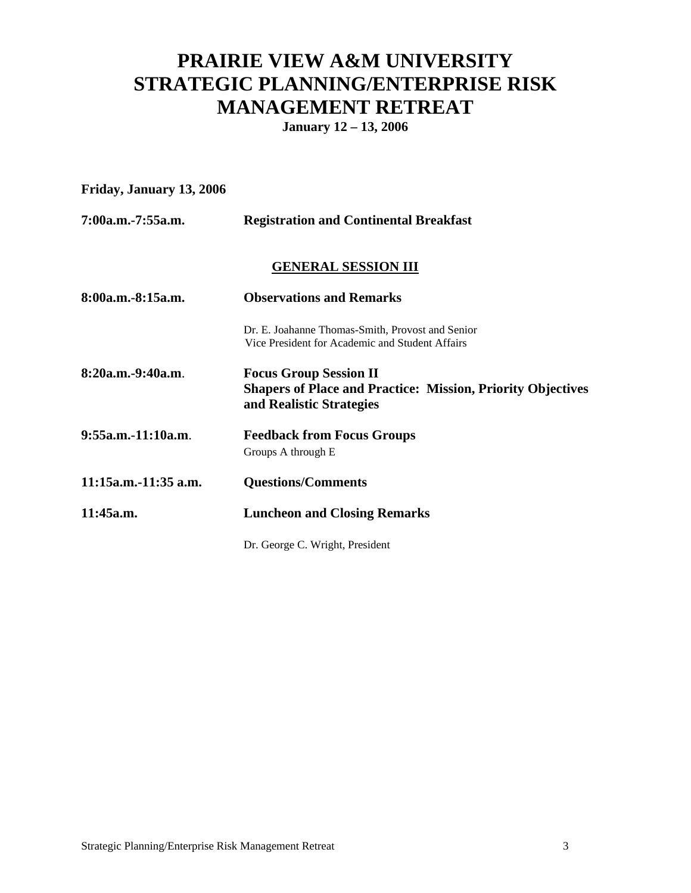# **PRAIRIE VIEW A&M UNIVERSITY STRATEGIC PLANNING/ENTERPRISE RISK MANAGEMENT RETREAT**

**January 12 – 13, 2006** 

## **Friday, January 13, 2006**

| 7:00a.m.-7:55a.m.    | <b>Registration and Continental Breakfast</b>                                                                                   |  |
|----------------------|---------------------------------------------------------------------------------------------------------------------------------|--|
|                      | <b>GENERAL SESSION III</b>                                                                                                      |  |
| 8:00a.m.-8:15a.m.    | <b>Observations and Remarks</b>                                                                                                 |  |
|                      | Dr. E. Joahanne Thomas-Smith, Provost and Senior<br>Vice President for Academic and Student Affairs                             |  |
| 8:20a.m.-9:40a.m.    | <b>Focus Group Session II</b><br><b>Shapers of Place and Practice: Mission, Priority Objectives</b><br>and Realistic Strategies |  |
| 9:55a.m.-11:10a.m.   | <b>Feedback from Focus Groups</b><br>Groups A through E                                                                         |  |
| 11:15a.m.-11:35 a.m. | <b>Questions/Comments</b>                                                                                                       |  |
| 11:45a.m.            | <b>Luncheon and Closing Remarks</b>                                                                                             |  |
|                      | Dr. George C. Wright, President                                                                                                 |  |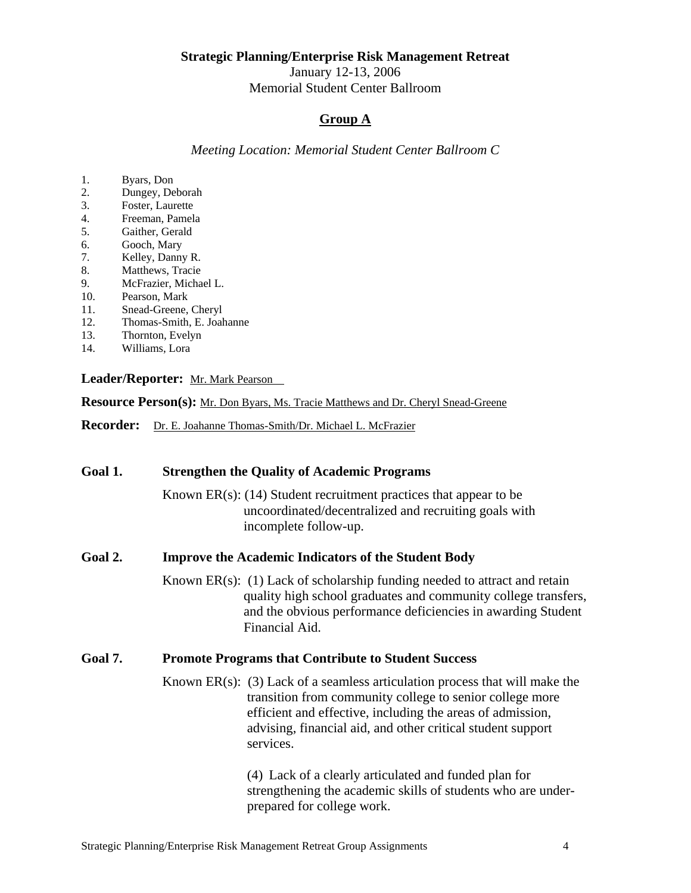January 12-13, 2006

Memorial Student Center Ballroom

## **Group A**

*Meeting Location: Memorial Student Center Ballroom C* 

- 1. Byars, Don<br>2. Dungey, De
- Dungey, Deborah
- 3. Foster, Laurette<br>4. Freeman, Pamela
- 4. Freeman, Pamela<br>5. Gaither, Gerald
- Gaither, Gerald
- 6. Gooch, Mary
- 7. Kelley, Danny R.
- 8. Matthews, Tracie
- 9. McFrazier, Michael L.
- 10. Pearson, Mark
- 11. Snead-Greene, Cheryl
- 12. Thomas-Smith, E. Joahanne
- 13. Thornton, Evelyn
- 14. Williams, Lora

#### Leader/Reporter: Mr. Mark Pearson

**Resource Person(s):** Mr. Don Byars, Ms. Tracie Matthews and Dr. Cheryl Snead-Greene

**Recorder:** Dr. E. Joahanne Thomas-Smith/Dr. Michael L. McFrazier

| Goal 1. | <b>Strengthen the Quality of Academic Programs</b>                                                                                                                                                                                                                                   |  |  |
|---------|--------------------------------------------------------------------------------------------------------------------------------------------------------------------------------------------------------------------------------------------------------------------------------------|--|--|
|         | Known $ER(s)$ : (14) Student recruitment practices that appear to be<br>uncoordinated/decentralized and recruiting goals with<br>incomplete follow-up.                                                                                                                               |  |  |
| Goal 2. | <b>Improve the Academic Indicators of the Student Body</b>                                                                                                                                                                                                                           |  |  |
|         | Known $ER(s)$ : (1) Lack of scholarship funding needed to attract and retain<br>quality high school graduates and community college transfers,<br>and the obvious performance deficiencies in awarding Student<br>Financial Aid.                                                     |  |  |
| Goal 7. | <b>Promote Programs that Contribute to Student Success</b>                                                                                                                                                                                                                           |  |  |
|         | Known $ER(s)$ : (3) Lack of a seamless articulation process that will make the<br>transition from community college to senior college more<br>efficient and effective, including the areas of admission,<br>advising, financial aid, and other critical student support<br>services. |  |  |
|         | (4) Lack of a clearly articulated and funded plan for<br>strengthening the academic skills of students who are under-<br>prepared for college work.                                                                                                                                  |  |  |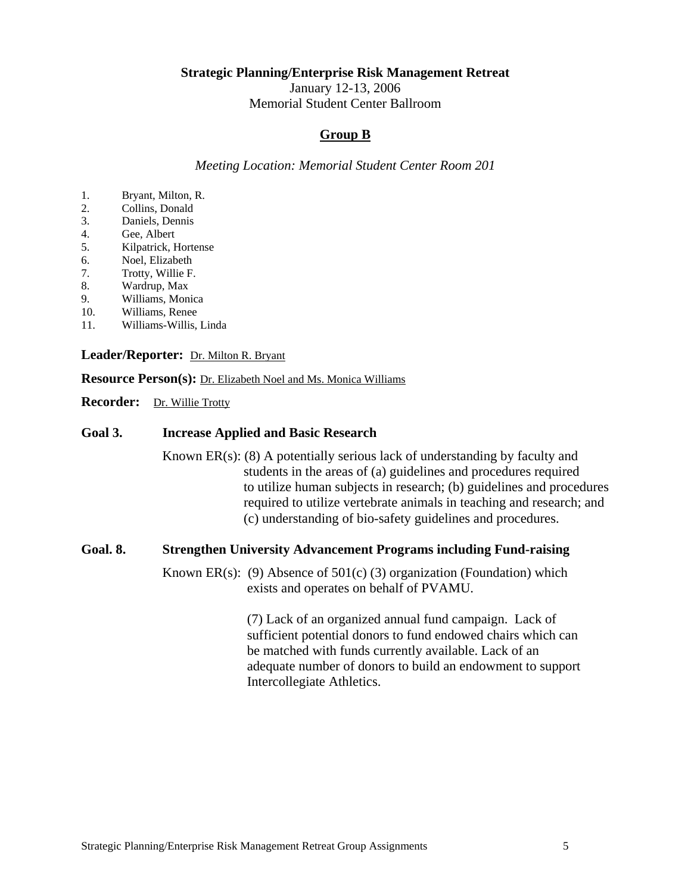January 12-13, 2006

Memorial Student Center Ballroom

### **Group B**

*Meeting Location: Memorial Student Center Room 201* 

- 1. Bryant, Milton, R.
- 2. Collins, Donald
- 3. Daniels, Dennis
- 4. Gee, Albert
- 5. Kilpatrick, Hortense
- 6. Noel, Elizabeth
- 7. Trotty, Willie F.
- 8. Wardrup, Max
- 9. Williams, Monica
- 10. Williams, Renee
- 11. Williams-Willis, Linda

#### **Leader/Reporter:** Dr. Milton R. Bryant

**Resource Person(s):** Dr. Elizabeth Noel and Ms. Monica Williams

**Recorder:** Dr. Willie Trotty

#### **Goal 3. Increase Applied and Basic Research**

Known  $ER(s)$ : (8) A potentially serious lack of understanding by faculty and students in the areas of (a) guidelines and procedures required to utilize human subjects in research; (b) guidelines and procedures required to utilize vertebrate animals in teaching and research; and (c) understanding of bio-safety guidelines and procedures.

#### **Goal. 8. Strengthen University Advancement Programs including Fund-raising**

Known ER(s): (9) Absence of  $501(c)$  (3) organization (Foundation) which exists and operates on behalf of PVAMU.

> (7) Lack of an organized annual fund campaign. Lack of sufficient potential donors to fund endowed chairs which can be matched with funds currently available. Lack of an adequate number of donors to build an endowment to support Intercollegiate Athletics.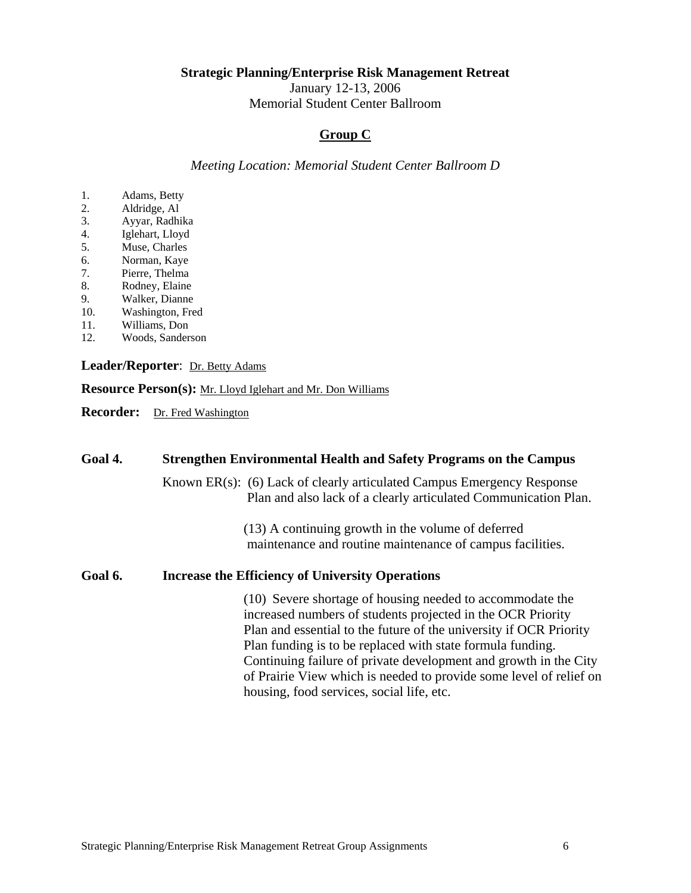January 12-13, 2006

Memorial Student Center Ballroom

## **Group C**

*Meeting Location: Memorial Student Center Ballroom D* 

- 1. Adams, Betty
- 2. Aldridge, Al
- 3. Ayyar, Radhika
- 4. Iglehart, Lloyd
- 5. Muse, Charles
- 6. Norman, Kaye
- 7. Pierre, Thelma
- 8. Rodney, Elaine
- 9. Walker, Dianne
- 10. Washington, Fred
- 11. Williams, Don
- 12. Woods, Sanderson

#### **Leader/Reporter**: Dr. Betty Adams

**Resource Person(s):** Mr. Lloyd Iglehart and Mr. Don Williams

**Recorder:** Dr. Fred Washington

## **Goal 4. Strengthen Environmental Health and Safety Programs on the Campus** Known ER(s): (6) Lack of clearly articulated Campus Emergency Response Plan and also lack of a clearly articulated Communication Plan. (13) A continuing growth in the volume of deferred maintenance and routine maintenance of campus facilities. **Goal 6. Increase the Efficiency of University Operations**  (10) Severe shortage of housing needed to accommodate the increased numbers of students projected in the OCR Priority Plan and essential to the future of the university if OCR Priority Plan funding is to be replaced with state formula funding. Continuing failure of private development and growth in the City of Prairie View which is needed to provide some level of relief on housing, food services, social life, etc.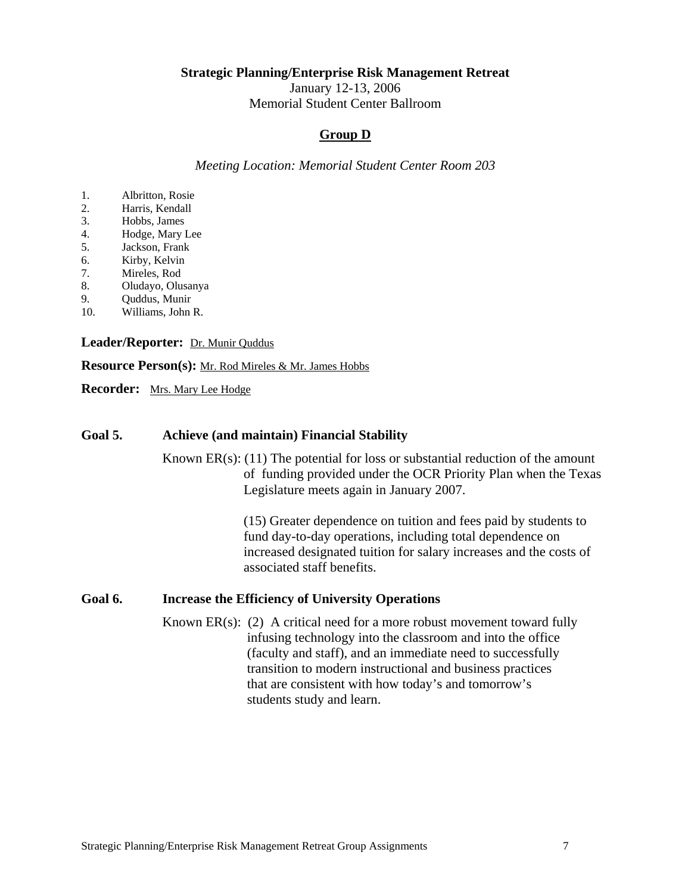January 12-13, 2006

Memorial Student Center Ballroom

## **Group D**

*Meeting Location: Memorial Student Center Room 203* 

- 1. Albritton, Rosie
- 2. Harris, Kendall
- 3. Hobbs, James
- 4. Hodge, Mary Lee
- 5. Jackson, Frank
- 6. Kirby, Kelvin
- 7. Mireles, Rod
- 8. Oludayo, Olusanya
- 9. Quddus, Munir
- 10. Williams, John R.

Leader/Reporter: Dr. Munir Quddus

**Resource Person(s):** Mr. Rod Mireles & Mr. James Hobbs

**Recorder:** Mrs. Mary Lee Hodge

### **Goal 5. Achieve (and maintain) Financial Stability**

Known  $ER(s)$ : (11) The potential for loss or substantial reduction of the amount of funding provided under the OCR Priority Plan when the Texas Legislature meets again in January 2007.

> (15) Greater dependence on tuition and fees paid by students to fund day-to-day operations, including total dependence on increased designated tuition for salary increases and the costs of associated staff benefits.

#### **Goal 6. Increase the Efficiency of University Operations**

Known  $ER(s)$ : (2) A critical need for a more robust movement toward fully infusing technology into the classroom and into the office (faculty and staff), and an immediate need to successfully transition to modern instructional and business practices that are consistent with how today's and tomorrow's students study and learn.